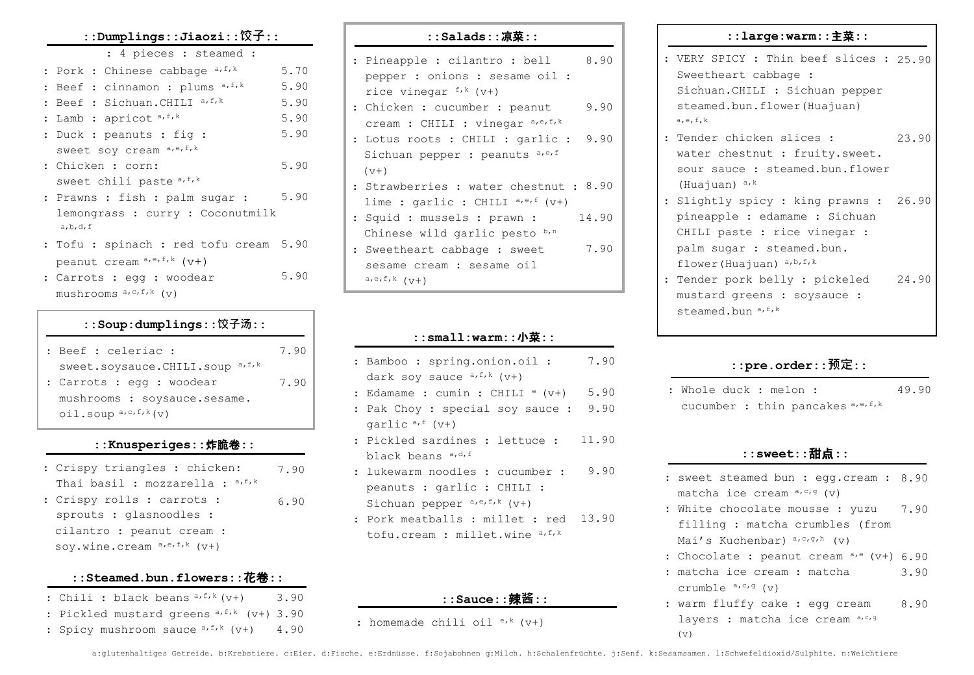#### **::Dumplings::Jiaozi::饺子::**

#### : 4 pieces : steamed :

| : Pork : Chinese cabbage a, f, k       | 5.70 |
|----------------------------------------|------|
| : Beef : cinnamon : plums a, f, k      | 5.90 |
| : Beef : Sichuan. CHILI a, f, k        | 5.90 |
| : Lamb : apricot a, f, k               | 5.90 |
| : Duck : peanuts : fiq :               | 5.90 |
| sweet soy cream a,e, f, k              |      |
| : Chicken : corn:                      | 5.90 |
| sweet chili paste a, f, k              |      |
| : Prawns : fish : palm sugar :         | 5.90 |
| lemongrass : curry : Coconutmilk       |      |
| a, b, d, f                             |      |
| : Tofu : spinach : red tofu cream 5.90 |      |
|                                        |      |

: Carrots : egg : woodear mushrooms  $a, c, f, k$  (v) 5.90

peanut cream  $a,e,f,k$  ( $V^+$ )

## **::Soup:dumplings::饺子汤::**

| : Beef : celeriac :                                      | 7.90 |
|----------------------------------------------------------|------|
| sweet.soysauce.CHILI.soup a, f, k                        |      |
| : Carrots : eqq : woodear                                | 7.90 |
| mushrooms : soysauce.sesame.                             |      |
| $\text{oil.soup}$ <sup><math>a, c, f, k</math></sup> (v) |      |

### **::Knusperiges::**炸脆卷**::**

| : Crispy triangles : chicken:     | 7.90 |
|-----------------------------------|------|
| Thai basil : mozzarella : a, f, k |      |
| : Crispy rolls : carrots :        | 6.90 |
| sprouts : glasnoodles :           |      |
| cilantro : peanut cream :         |      |
| soy.wine.cream $a,e,f,k$ ( $v+$ ) |      |

### **::Steamed.bun.flowers::**花卷**::**

- : Chili : black beans  $a, f, k$  ( $v+$ ) 3.90
- : Pickled mustard greens a, f, k (v+) 3.90
- : Spicy mushroom sauce  $a, f, k$  (v+) 4.90

| 8.90<br>: Pineapple : cilantro : bell  |
|----------------------------------------|
| pepper : onions : sesame oil :         |
| rice vinegar $f^k$ (v+)                |
| 9.90<br>: Chicken : cucumber : peanut  |
| cream : CHILI : vinegar a,e,f,k        |
| : Lotus roots : CHILI : garlic : 9.90  |
| Sichuan pepper : peanuts a,e,f         |
| $(v+)$                                 |
| : Strawberries : water chestnut : 8.90 |
| lime : garlic : CHILI a,e,f (v+)       |
| 14.90<br>: Squid : mussels : prawn :   |
| Chinese wild garlic pesto b,n          |
| 7.90<br>: Sweetheart cabbage : sweet   |
| sesame cream : sesame oil              |
| $a,e,f,k$ ( $V+$ )                     |

**::Salads::**凉菜**::**

### **::small:warm::**小菜**::**

- : Bamboo : spring.onion.oil : dark soy sauce  $a, f, k$  (v+) 7.90
- : Edamame : cumin : CHILI  $e(y+)$ 5.90
- : Pak Choy : special soy sauce : 9.90 garlic  $a, f (v+)$
- : Pickled sardines : lettuce : black beans a, d, f 11.90
- : lukewarm noodles : cucumber : peanuts : garlic : CHILI : Sichuan pepper  $a,e,f,k$  ( $v+$ ) 9.90
- : Pork meatballs : millet : red 13.90tofu.cream : millet.wine a,f,k

### **::Sauce::**辣**酱::**

: homemade chili oil  $e^{ik}$  (v+)

#### **::large:warm::**主菜**::**

: VERY SPICY : Thin beef slices : 25.90 Sweetheart cabbage : Sichuan.CHILI : Sichuan pepper steamed.bun.flower(Huajuan) a,  $e, f, k$ 

- : Tender chicken slices : water chestnut : fruity.sweet. sour sauce : steamed.bun.flower (Huajuan) a,k 23.90
- : Slightly spicy : king prawns : 26.90 pineapple : edamame : Sichuan CHILI paste : rice vinegar : palm sugar : steamed.bun. flower(Huajuan) a, b, f, k
- : Tender pork belly : pickeled mustard greens : soysauce : steamed.bun a, f, k 24.90

## **::pre.order::预定::**

: Whole duck : melon : cucumber : thin pancakes  $a,e,f,k$ 49.90

### **::sweet::**甜点**::**

- : sweet steamed bun : egg.cream : 8.90 matcha ice cream  $a, c, g$  (v)
- : White chocolate mousse : yuzu filling : matcha crumbles (from Mai's Kuchenbar)  $a,c,q,h$  (v) 7.90
- : Chocolate : peanut cream a,e (v+) 6.90
- : matcha ice cream : matcha crumble  $a, c, g$  (v) 3.90
- : warm fluffy cake : egg cream layers : matcha ice cream a,c,g (v) 8.90

a:glutenhaltiges Getreide. b:Krebstiere. c:Eier. d:Fische. e:Erdnüsse. f:Sojabohnen g:Milch. h:Schalenfrüchte. j:Senf. k:Sesamsamen. l:Schwefeldioxid/Sulphite. n:Weichtiere